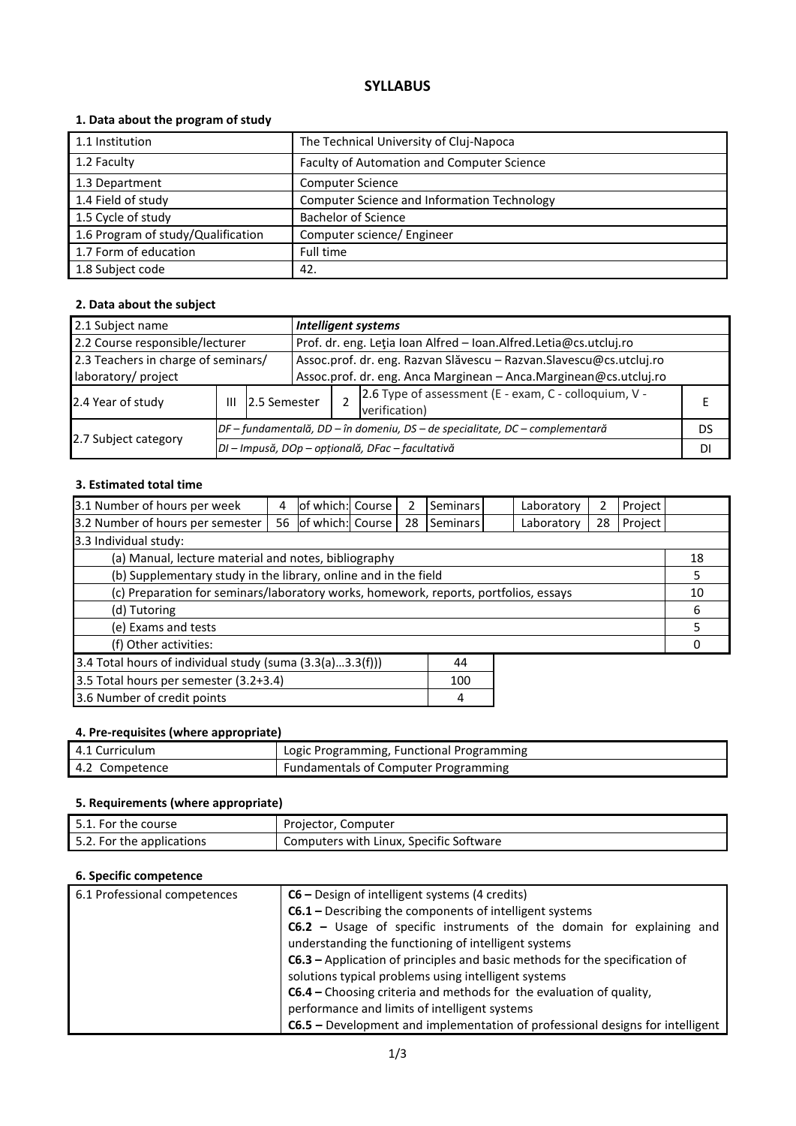# **SYLLABUS**

# **1. Data about the program of study**

| 1.1 Institution                    | The Technical University of Cluj-Napoca     |
|------------------------------------|---------------------------------------------|
| 1.2 Faculty                        | Faculty of Automation and Computer Science  |
| 1.3 Department                     | <b>Computer Science</b>                     |
| 1.4 Field of study                 | Computer Science and Information Technology |
| 1.5 Cycle of study                 | <b>Bachelor of Science</b>                  |
| 1.6 Program of study/Qualification | Computer science/ Engineer                  |
| 1.7 Form of education              | Full time                                   |
| 1.8 Subject code                   | 42.                                         |

# **2. Data about the subject**

| 2.1 Subject name                                           |                   |                                                                              | <b>Intelligent systems</b>                                                                                                                |                                                                        |    |  |
|------------------------------------------------------------|-------------------|------------------------------------------------------------------------------|-------------------------------------------------------------------------------------------------------------------------------------------|------------------------------------------------------------------------|----|--|
| 2.2 Course responsible/lecturer                            |                   |                                                                              | Prof. dr. eng. Leția Ioan Alfred - Ioan.Alfred.Letia@cs.utcluj.ro                                                                         |                                                                        |    |  |
| 2.3 Teachers in charge of seminars/<br>laboratory/ project |                   |                                                                              | Assoc.prof. dr. eng. Razvan Slăvescu - Razvan. Slavescu@cs.utcluj.ro<br>Assoc.prof. dr. eng. Anca Marginean - Anca.Marginean@cs.utcluj.ro |                                                                        |    |  |
| 2.4 Year of study                                          | 2.5 Semester<br>Ш |                                                                              |                                                                                                                                           | 2.6 Type of assessment (E - exam, C - colloquium, V -<br>verification) |    |  |
|                                                            |                   | DF – fundamentală, DD – în domeniu, DS – de specialitate, DC – complementară |                                                                                                                                           |                                                                        | DS |  |
| 2.7 Subject category                                       |                   | DI - Impusă, DOp - opțională, DFac - facultativă                             |                                                                                                                                           |                                                                        |    |  |

### **3. Estimated total time**

| 3.1 Number of hours per week                                                         | 4  | of which: Course |  |    | <b>Seminars</b> |    | Laboratory | 2  | Project |    |
|--------------------------------------------------------------------------------------|----|------------------|--|----|-----------------|----|------------|----|---------|----|
| 3.2 Number of hours per semester                                                     | 56 | of which: Course |  | 28 | Seminars        |    | Laboratory | 28 | Project |    |
| 3.3 Individual study:                                                                |    |                  |  |    |                 |    |            |    |         |    |
| (a) Manual, lecture material and notes, bibliography                                 |    |                  |  |    |                 |    |            |    |         | 18 |
| (b) Supplementary study in the library, online and in the field                      |    |                  |  |    |                 | 5. |            |    |         |    |
| (c) Preparation for seminars/laboratory works, homework, reports, portfolios, essays |    |                  |  |    | 10              |    |            |    |         |    |
| (d) Tutoring                                                                         |    |                  |  |    |                 | 6  |            |    |         |    |
| (e) Exams and tests                                                                  |    |                  |  |    |                 | 5  |            |    |         |    |
| (f) Other activities:                                                                |    |                  |  |    |                 | Ω  |            |    |         |    |
| 3.4 Total hours of individual study (suma (3.3(a)3.3(f)))<br>44                      |    |                  |  |    |                 |    |            |    |         |    |
| 3.5 Total hours per semester (3.2+3.4)<br>100                                        |    |                  |  |    |                 |    |            |    |         |    |
| 3.6 Number of credit points<br>4                                                     |    |                  |  |    |                 |    |            |    |         |    |

# **4. Pre-requisites (where appropriate)**

| 4.1 Curriculum | Logic Programming, Functional Programming   |
|----------------|---------------------------------------------|
| 4.2 Competence | <b>Fundamentals of Computer Programming</b> |

# **5. Requirements (where appropriate)**

| 5.1. For the course       | Projector, Computer                     |
|---------------------------|-----------------------------------------|
| 5.2. For the applications | Computers with Linux, Specific Software |

#### **6. Specific competence**

| 6.1 Professional competences | C6 – Design of intelligent systems (4 credits)                                       |
|------------------------------|--------------------------------------------------------------------------------------|
|                              | C6.1 - Describing the components of intelligent systems                              |
|                              | C6.2 - Usage of specific instruments of the domain for explaining and                |
|                              | understanding the functioning of intelligent systems                                 |
|                              | C6.3 – Application of principles and basic methods for the specification of          |
|                              | solutions typical problems using intelligent systems                                 |
|                              | C6.4 – Choosing criteria and methods for the evaluation of quality,                  |
|                              | performance and limits of intelligent systems                                        |
|                              | <b>C6.5</b> – Development and implementation of professional designs for intelligent |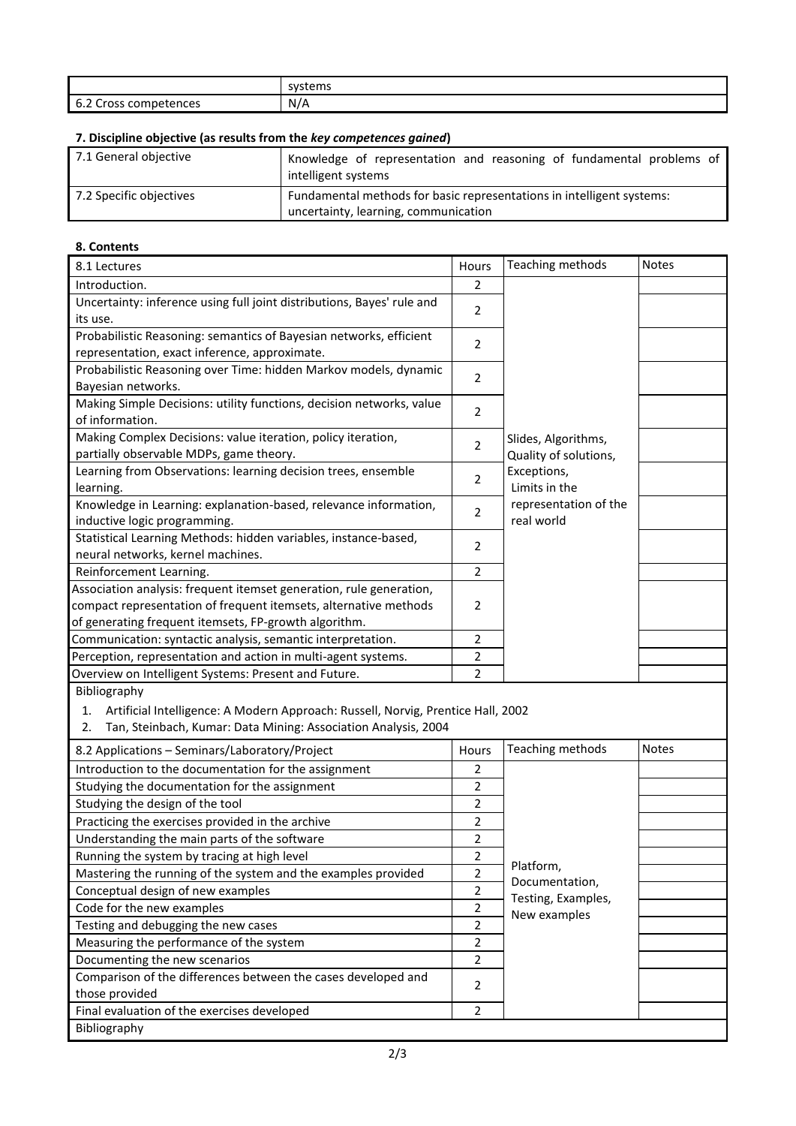|                                                                | tome<br><b>SVST</b><br>7366113 |
|----------------------------------------------------------------|--------------------------------|
| $\overline{\phantom{0}}$<br>-<br>: competences<br>Cross<br>∪.∠ | N/A                            |

# **7. Discipline objective (as results from the** *key competences gained***)**

| 7.1 General objective   | Knowledge of representation and reasoning of fundamental problems of<br>intelligent systems                   |  |
|-------------------------|---------------------------------------------------------------------------------------------------------------|--|
| 7.2 Specific objectives | Fundamental methods for basic representations in intelligent systems:<br>uncertainty, learning, communication |  |

# **8. Contents**

| 8.1 Lectures                                                                           | Hours          | Teaching methods                     | <b>Notes</b> |  |
|----------------------------------------------------------------------------------------|----------------|--------------------------------------|--------------|--|
| Introduction.                                                                          | $\overline{2}$ |                                      |              |  |
| Uncertainty: inference using full joint distributions, Bayes' rule and                 |                |                                      |              |  |
| its use.                                                                               | 2              |                                      |              |  |
| Probabilistic Reasoning: semantics of Bayesian networks, efficient                     |                |                                      |              |  |
| representation, exact inference, approximate.                                          | 2              |                                      |              |  |
| Probabilistic Reasoning over Time: hidden Markov models, dynamic                       | 2              |                                      |              |  |
| Bayesian networks.                                                                     |                |                                      |              |  |
| Making Simple Decisions: utility functions, decision networks, value                   | $\overline{2}$ |                                      |              |  |
| of information.                                                                        |                |                                      |              |  |
| Making Complex Decisions: value iteration, policy iteration,                           | $\overline{2}$ | Slides, Algorithms,                  |              |  |
| partially observable MDPs, game theory.                                                |                | Quality of solutions,                |              |  |
| Learning from Observations: learning decision trees, ensemble                          | $\overline{2}$ | Exceptions,                          |              |  |
| learning.                                                                              |                | Limits in the                        |              |  |
| Knowledge in Learning: explanation-based, relevance information,                       | $\overline{2}$ | representation of the                |              |  |
| inductive logic programming.                                                           |                | real world                           |              |  |
| Statistical Learning Methods: hidden variables, instance-based,                        | 2              |                                      |              |  |
| neural networks, kernel machines.                                                      |                |                                      |              |  |
| Reinforcement Learning.                                                                | $\overline{2}$ |                                      |              |  |
| Association analysis: frequent itemset generation, rule generation,                    |                |                                      |              |  |
| compact representation of frequent itemsets, alternative methods                       | 2              |                                      |              |  |
| of generating frequent itemsets, FP-growth algorithm.                                  |                |                                      |              |  |
| Communication: syntactic analysis, semantic interpretation.                            | $\overline{2}$ |                                      |              |  |
| Perception, representation and action in multi-agent systems.                          | $\overline{2}$ |                                      |              |  |
| Overview on Intelligent Systems: Present and Future.                                   | 2              |                                      |              |  |
| Bibliography                                                                           |                |                                      |              |  |
| Artificial Intelligence: A Modern Approach: Russell, Norvig, Prentice Hall, 2002<br>1. |                |                                      |              |  |
| Tan, Steinbach, Kumar: Data Mining: Association Analysis, 2004<br>2.                   |                |                                      |              |  |
| 8.2 Applications - Seminars/Laboratory/Project                                         | Hours          | Teaching methods                     | Notes        |  |
| Introduction to the documentation for the assignment                                   | 2              |                                      |              |  |
| Studying the documentation for the assignment                                          | $\overline{2}$ |                                      |              |  |
| Studying the design of the tool                                                        | $\overline{2}$ |                                      |              |  |
| Practicing the exercises provided in the archive                                       | 2              |                                      |              |  |
| Understanding the main parts of the software                                           | 2              |                                      |              |  |
| Running the system by tracing at high level                                            | $\mathbf 2$    |                                      |              |  |
| Mastering the running of the system and the examples provided                          | $\mathbf 2$    | Platform,                            |              |  |
| Conceptual design of new examples                                                      | $\overline{2}$ | Documentation,<br>Testing, Examples, |              |  |
| Code for the new examples                                                              | $\overline{2}$ | New examples                         |              |  |
| Testing and debugging the new cases                                                    | $\overline{2}$ |                                      |              |  |
| Measuring the performance of the system                                                | $\overline{2}$ |                                      |              |  |
| Documenting the new scenarios                                                          | $\overline{2}$ |                                      |              |  |
| Comparison of the differences between the cases developed and                          |                |                                      |              |  |
| those provided                                                                         | 2              |                                      |              |  |
| Final evaluation of the exercises developed                                            | $\overline{2}$ |                                      |              |  |
| Bibliography                                                                           |                |                                      |              |  |